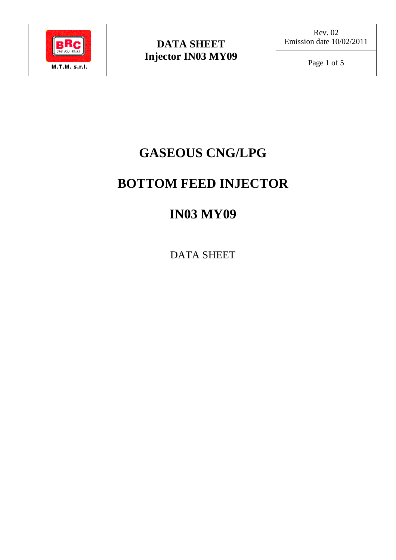

Rev. 02 Emission date 10/02/2011

Page 1 of 5

## **GASEOUS CNG/LPG**

## **BOTTOM FEED INJECTOR**

## **IN03 MY09**

DATA SHEET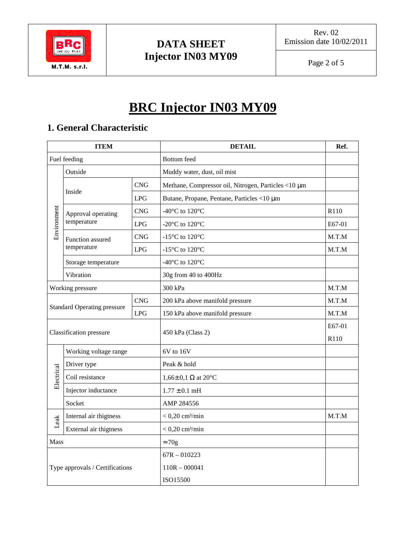

Rev. 02 Emission date 10/02/2011

Page 2 of 5

# **BRC Injector IN03 MY09**

#### **1. General Characteristic**

| <b>ITEM</b>                                             |                                   |            | <b>DETAIL</b>                                       | Ref.             |
|---------------------------------------------------------|-----------------------------------|------------|-----------------------------------------------------|------------------|
| Fuel feeding                                            |                                   |            | <b>Bottom</b> feed                                  |                  |
| Environment                                             | Outside                           |            | Muddy water, dust, oil mist                         |                  |
|                                                         | Inside                            | <b>CNG</b> | Methane, Compressor oil, Nitrogen, Particles <10 µm |                  |
|                                                         |                                   | LPG        | Butane, Propane, Pentane, Particles <10 µm          |                  |
|                                                         | Approval operating<br>temperature | <b>CNG</b> | -40 $^{\circ}$ C to 120 $^{\circ}$ C                | R <sub>110</sub> |
|                                                         |                                   | LPG        | -20 $^{\circ}$ C to 120 $^{\circ}$ C                | E67-01           |
|                                                         | Function assured<br>temperature   | <b>CNG</b> | -15°C to 120°C                                      | M.T.M            |
|                                                         |                                   | <b>LPG</b> | -15 $\rm{^{\circ}C}$ to 120 $\rm{^{\circ}C}$        | M.T.M            |
|                                                         | Storage temperature               |            | -40 $^{\circ}$ C to 120 $^{\circ}$ C                |                  |
|                                                         | Vibration                         |            | 30g from 40 to 400Hz                                |                  |
| Working pressure                                        |                                   |            | 300 kPa                                             | M.T.M            |
| <b>CNG</b><br><b>Standard Operating pressure</b><br>LPG |                                   |            | 200 kPa above manifold pressure                     | M.T.M            |
|                                                         |                                   |            | 150 kPa above manifold pressure                     | M.T.M            |
| <b>Classification</b> pressure                          |                                   |            | 450 kPa (Class 2)                                   | E67-01           |
|                                                         |                                   |            |                                                     | R110             |
| Electrical                                              | Working voltage range             |            | 6V to 16V                                           |                  |
|                                                         | Driver type                       |            | Peak & hold                                         |                  |
|                                                         | Coil resistance                   |            | 1,66± 0,1 $\Omega$ at 20°C                          |                  |
|                                                         | Injector inductance               |            | $1.77 \pm 0.1$ mH                                   |                  |
|                                                         | Socket                            |            | AMP 284556                                          |                  |
| Leak                                                    | Internal air thigtness            |            | $< 0.20$ cm <sup>3</sup> /min                       | M.T.M            |
|                                                         | External air thigtness            |            | $< 0.20$ cm <sup>3</sup> /min                       |                  |
| Mass                                                    |                                   |            | $\approx 70g$                                       |                  |
| Type approvals / Certifications                         |                                   |            | $67R - 010223$                                      |                  |
|                                                         |                                   |            | $110R - 000041$                                     |                  |
|                                                         |                                   |            | ISO15500                                            |                  |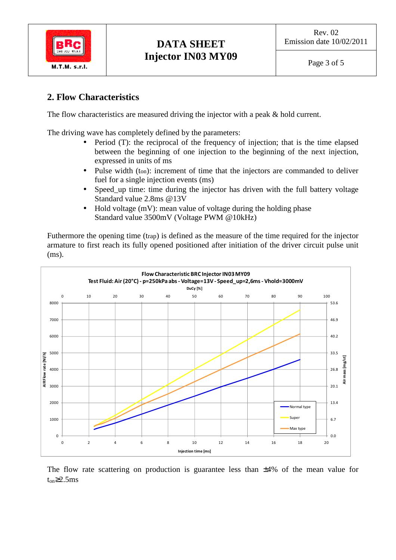

#### **2. Flow Characteristics**

The flow characteristics are measured driving the injector with a peak & hold current.

The driving wave has completely defined by the parameters:

- Period (T): the reciprocal of the frequency of injection; that is the time elapsed between the beginning of one injection to the beginning of the next injection, expressed in units of ms
- Pulse width (ton): increment of time that the injectors are commanded to deliver fuel for a single injection events (ms)
- Speed up time: time during the injector has driven with the full battery voltage Standard value 2.8ms @13V
- Hold voltage (mV): mean value of voltage during the holding phase Standard value 3500mV (Voltage PWM @10kHz)

Futhermore the opening time (trap) is defined as the measure of the time required for the injector armature to first reach its fully opened positioned after initiation of the driver circuit pulse unit (ms).



The flow rate scattering on production is guarantee less than  $\pm 4\%$  of the mean value for  $t<sub>on</sub>≥2.5ms$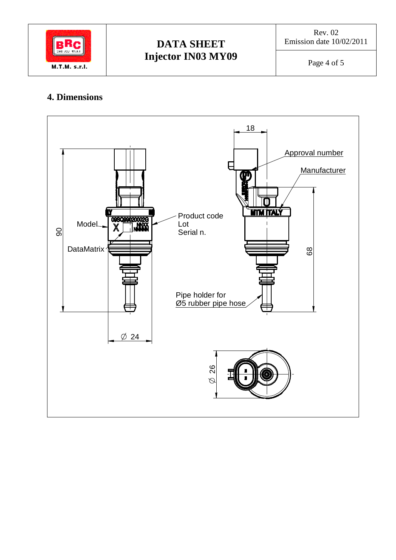

Rev. 02 Emission date 10/02/2011

Page 4 of 5

#### **4. Dimensions**